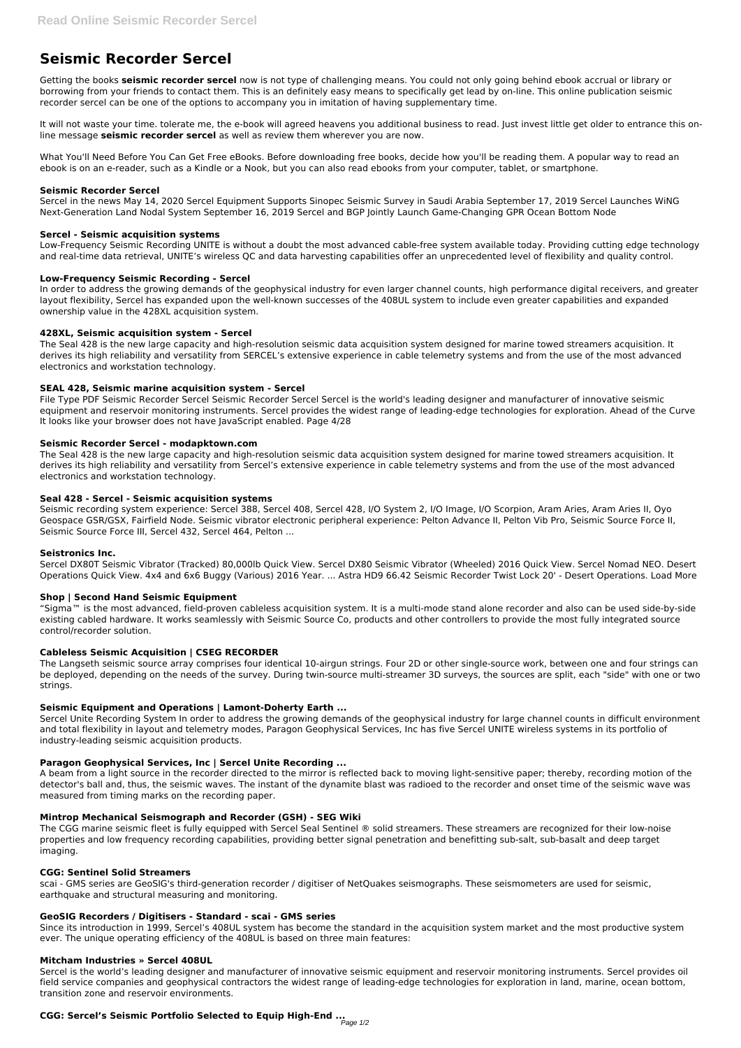# **Seismic Recorder Sercel**

Getting the books **seismic recorder sercel** now is not type of challenging means. You could not only going behind ebook accrual or library or borrowing from your friends to contact them. This is an definitely easy means to specifically get lead by on-line. This online publication seismic recorder sercel can be one of the options to accompany you in imitation of having supplementary time.

It will not waste your time. tolerate me, the e-book will agreed heavens you additional business to read. Just invest little get older to entrance this online message **seismic recorder sercel** as well as review them wherever you are now.

What You'll Need Before You Can Get Free eBooks. Before downloading free books, decide how you'll be reading them. A popular way to read an ebook is on an e-reader, such as a Kindle or a Nook, but you can also read ebooks from your computer, tablet, or smartphone.

# **Seismic Recorder Sercel**

Sercel in the news May 14, 2020 Sercel Equipment Supports Sinopec Seismic Survey in Saudi Arabia September 17, 2019 Sercel Launches WiNG Next-Generation Land Nodal System September 16, 2019 Sercel and BGP Jointly Launch Game-Changing GPR Ocean Bottom Node

# **Sercel - Seismic acquisition systems**

Low-Frequency Seismic Recording UNITE is without a doubt the most advanced cable-free system available today. Providing cutting edge technology and real-time data retrieval, UNITE's wireless QC and data harvesting capabilities offer an unprecedented level of flexibility and quality control.

# **Low-Frequency Seismic Recording - Sercel**

In order to address the growing demands of the geophysical industry for even larger channel counts, high performance digital receivers, and greater layout flexibility, Sercel has expanded upon the well-known successes of the 408UL system to include even greater capabilities and expanded ownership value in the 428XL acquisition system.

# **428XL, Seismic acquisition system - Sercel**

The Seal 428 is the new large capacity and high-resolution seismic data acquisition system designed for marine towed streamers acquisition. It derives its high reliability and versatility from SERCEL's extensive experience in cable telemetry systems and from the use of the most advanced electronics and workstation technology.

# **SEAL 428, Seismic marine acquisition system - Sercel**

File Type PDF Seismic Recorder Sercel Seismic Recorder Sercel Sercel is the world's leading designer and manufacturer of innovative seismic equipment and reservoir monitoring instruments. Sercel provides the widest range of leading-edge technologies for exploration. Ahead of the Curve It looks like your browser does not have JavaScript enabled. Page 4/28

# **Seismic Recorder Sercel - modapktown.com**

The Seal 428 is the new large capacity and high-resolution seismic data acquisition system designed for marine towed streamers acquisition. It derives its high reliability and versatility from Sercel's extensive experience in cable telemetry systems and from the use of the most advanced electronics and workstation technology.

# **Seal 428 - Sercel - Seismic acquisition systems**

Seismic recording system experience: Sercel 388, Sercel 408, Sercel 428, I/O System 2, I/O Image, I/O Scorpion, Aram Aries, Aram Aries II, Oyo Geospace GSR/GSX, Fairfield Node. Seismic vibrator electronic peripheral experience: Pelton Advance II, Pelton Vib Pro, Seismic Source Force II, Seismic Source Force III, Sercel 432, Sercel 464, Pelton ...

# **Seistronics Inc.**

Sercel DX80T Seismic Vibrator (Tracked) 80,000lb Quick View. Sercel DX80 Seismic Vibrator (Wheeled) 2016 Quick View. Sercel Nomad NEO. Desert Operations Quick View. 4x4 and 6x6 Buggy (Various) 2016 Year. ... Astra HD9 66.42 Seismic Recorder Twist Lock 20' - Desert Operations. Load More

# **Shop | Second Hand Seismic Equipment**

"Sigma™ is the most advanced, field-proven cableless acquisition system. It is a multi-mode stand alone recorder and also can be used side-by-side existing cabled hardware. It works seamlessly with Seismic Source Co, products and other controllers to provide the most fully integrated source control/recorder solution.

# **Cableless Seismic Acquisition | CSEG RECORDER**

The Langseth seismic source array comprises four identical 10-airgun strings. Four 2D or other single-source work, between one and four strings can be deployed, depending on the needs of the survey. During twin-source multi-streamer 3D surveys, the sources are split, each "side" with one or two strings.

# **Seismic Equipment and Operations | Lamont-Doherty Earth ...**

Sercel Unite Recording System In order to address the growing demands of the geophysical industry for large channel counts in difficult environment and total flexibility in layout and telemetry modes, Paragon Geophysical Services, Inc has five Sercel UNITE wireless systems in its portfolio of industry-leading seismic acquisition products.

# **Paragon Geophysical Services, Inc | Sercel Unite Recording ...**

A beam from a light source in the recorder directed to the mirror is reflected back to moving light-sensitive paper; thereby, recording motion of the detector's ball and, thus, the seismic waves. The instant of the dynamite blast was radioed to the recorder and onset time of the seismic wave was

measured from timing marks on the recording paper.

### **Mintrop Mechanical Seismograph and Recorder (GSH) - SEG Wiki**

The CGG marine seismic fleet is fully equipped with Sercel Seal Sentinel ® solid streamers. These streamers are recognized for their low-noise properties and low frequency recording capabilities, providing better signal penetration and benefitting sub-salt, sub-basalt and deep target imaging.

#### **CGG: Sentinel Solid Streamers**

scai - GMS series are GeoSIG's third-generation recorder / digitiser of NetQuakes seismographs. These seismometers are used for seismic, earthquake and structural measuring and monitoring.

### **GeoSIG Recorders / Digitisers - Standard - scai - GMS series**

Since its introduction in 1999, Sercel's 408UL system has become the standard in the acquisition system market and the most productive system ever. The unique operating efficiency of the 408UL is based on three main features:

#### **Mitcham Industries » Sercel 408UL**

Sercel is the world's leading designer and manufacturer of innovative seismic equipment and reservoir monitoring instruments. Sercel provides oil field service companies and geophysical contractors the widest range of leading-edge technologies for exploration in land, marine, ocean bottom, transition zone and reservoir environments.

# **CGG: Sercel's Seismic Portfolio Selected to Equip High-End ...** Page 1/2